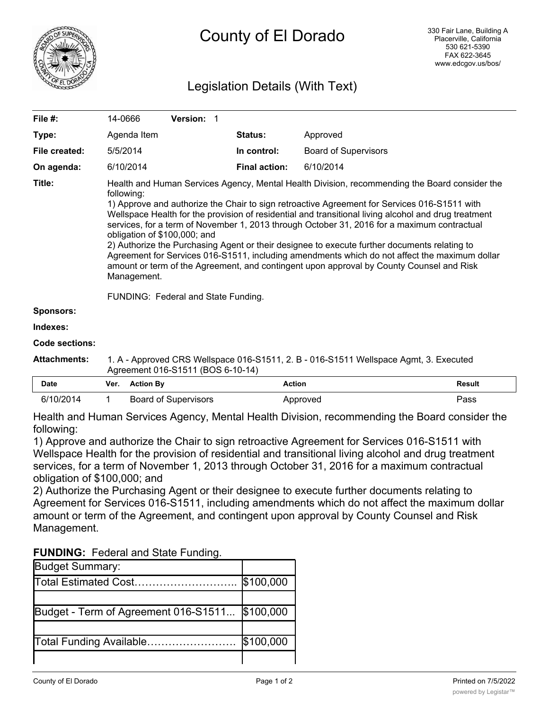

# Legislation Details (With Text)

| File #:          | 14-0666                                                                                                                                                                                                                                                                                                                                                                                                                                                                                                                                                                                                                                                                                                                                                                                               | <b>Version: 1</b> |  |                      |                             |  |  |
|------------------|-------------------------------------------------------------------------------------------------------------------------------------------------------------------------------------------------------------------------------------------------------------------------------------------------------------------------------------------------------------------------------------------------------------------------------------------------------------------------------------------------------------------------------------------------------------------------------------------------------------------------------------------------------------------------------------------------------------------------------------------------------------------------------------------------------|-------------------|--|----------------------|-----------------------------|--|--|
| Type:            | Agenda Item                                                                                                                                                                                                                                                                                                                                                                                                                                                                                                                                                                                                                                                                                                                                                                                           |                   |  | <b>Status:</b>       | Approved                    |  |  |
| File created:    | 5/5/2014                                                                                                                                                                                                                                                                                                                                                                                                                                                                                                                                                                                                                                                                                                                                                                                              |                   |  | In control:          | <b>Board of Supervisors</b> |  |  |
| On agenda:       | 6/10/2014                                                                                                                                                                                                                                                                                                                                                                                                                                                                                                                                                                                                                                                                                                                                                                                             |                   |  | <b>Final action:</b> | 6/10/2014                   |  |  |
| Title:           | Health and Human Services Agency, Mental Health Division, recommending the Board consider the<br>following:<br>1) Approve and authorize the Chair to sign retroactive Agreement for Services 016-S1511 with<br>Wellspace Health for the provision of residential and transitional living alcohol and drug treatment<br>services, for a term of November 1, 2013 through October 31, 2016 for a maximum contractual<br>obligation of \$100,000; and<br>2) Authorize the Purchasing Agent or their designee to execute further documents relating to<br>Agreement for Services 016-S1511, including amendments which do not affect the maximum dollar<br>amount or term of the Agreement, and contingent upon approval by County Counsel and Risk<br>Management.<br>FUNDING: Federal and State Funding. |                   |  |                      |                             |  |  |
| <b>Sponsors:</b> |                                                                                                                                                                                                                                                                                                                                                                                                                                                                                                                                                                                                                                                                                                                                                                                                       |                   |  |                      |                             |  |  |
| Indexes:         |                                                                                                                                                                                                                                                                                                                                                                                                                                                                                                                                                                                                                                                                                                                                                                                                       |                   |  |                      |                             |  |  |
| Code sections:   |                                                                                                                                                                                                                                                                                                                                                                                                                                                                                                                                                                                                                                                                                                                                                                                                       |                   |  |                      |                             |  |  |

**Attachments:** 1. A - Approved CRS Wellspace 016-S1511, 2. B - 016-S1511 Wellspace Agmt, 3. Executed Agreement 016-S1511 (BOS 6-10-14)

| Date      | Ver. | <b>Action By</b>     | Action   | Result |
|-----------|------|----------------------|----------|--------|
| 6/10/2014 |      | Board of Supervisors | Approved | Pass   |

Health and Human Services Agency, Mental Health Division, recommending the Board consider the following:

1) Approve and authorize the Chair to sign retroactive Agreement for Services 016-S1511 with Wellspace Health for the provision of residential and transitional living alcohol and drug treatment services, for a term of November 1, 2013 through October 31, 2016 for a maximum contractual obligation of \$100,000; and

2) Authorize the Purchasing Agent or their designee to execute further documents relating to Agreement for Services 016-S1511, including amendments which do not affect the maximum dollar amount or term of the Agreement, and contingent upon approval by County Counsel and Risk Management.

| <b>FUNDING: Federal and State Funding.</b> |  |  |  |
|--------------------------------------------|--|--|--|
|--------------------------------------------|--|--|--|

| <b>Budget Summary:</b>               |           |
|--------------------------------------|-----------|
| Total Estimated Cost                 | \$100,000 |
|                                      |           |
| Budget - Term of Agreement 016-S1511 | \$100,000 |
|                                      |           |
| Total Funding Available              | \$100,000 |
|                                      |           |